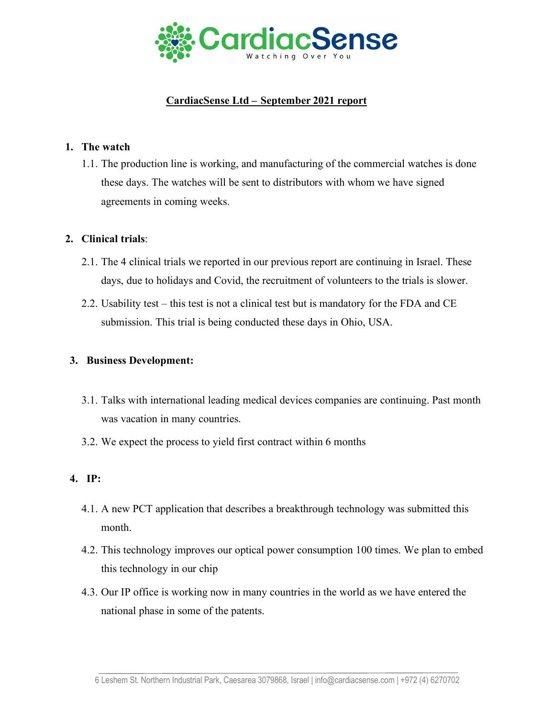

# **CardiacSense Ltd – September 2021 report**

### **1. The watch**

1.1. The production line is working, and manufacturing of the commercial watches is done these days. The watches will be sent to distributors with whom we have signed agreements in coming weeks.

### **2. Clinical trials**:

- 2.1. The 4 clinical trials we reported in our previous report are continuing in Israel. These days, due to holidays and Covid, the recruitment of volunteers to the trials is slower.
- 2.2. Usability test this test is not a clinical test but is mandatory for the FDA and CE submission. This trial is being conducted these days in Ohio, USA.

#### **3. Business Development:**

- 3.1. Talks with international leading medical devices companies are continuing. Past month was vacation in many countries.
- 3.2. We expect the process to yield first contract within 6 months

## **4. IP:**

- 4.1. A new PCT application that describes a breakthrough technology was submitted this month.
- 4.2. This technology improves our optical power consumption 100 times. We plan to embed this technology in our chip
- 4.3. Our IP office is working now in many countries in the world as we have entered the national phase in some of the patents.